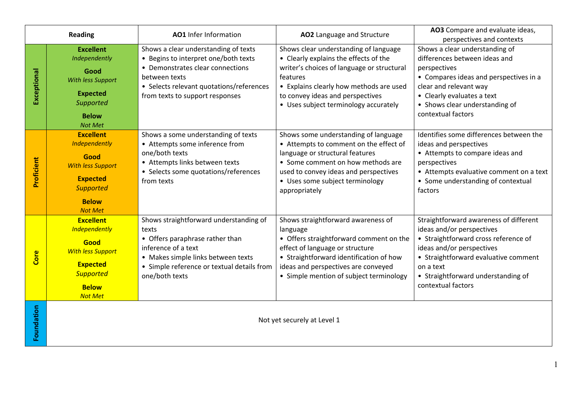| <b>Reading</b> |                                                                                                                                                       | AO1 Infer Information                                                                                                                                                                                            | AO2 Language and Structure                                                                                                                                                                                                                                       | AO3 Compare and evaluate ideas,<br>perspectives and contexts                                                                                                                                                                                              |
|----------------|-------------------------------------------------------------------------------------------------------------------------------------------------------|------------------------------------------------------------------------------------------------------------------------------------------------------------------------------------------------------------------|------------------------------------------------------------------------------------------------------------------------------------------------------------------------------------------------------------------------------------------------------------------|-----------------------------------------------------------------------------------------------------------------------------------------------------------------------------------------------------------------------------------------------------------|
| Exceptional    | <b>Excellent</b><br>Independently<br>Good<br>With less Support<br><b>Expected</b><br>Supported<br><b>Below</b><br><b>Not Met</b>                      | Shows a clear understanding of texts<br>• Begins to interpret one/both texts<br>• Demonstrates clear connections<br>between texts<br>• Selects relevant quotations/references<br>from texts to support responses | Shows clear understanding of language<br>• Clearly explains the effects of the<br>writer's choices of language or structural<br>features<br>• Explains clearly how methods are used<br>to convey ideas and perspectives<br>• Uses subject terminology accurately | Shows a clear understanding of<br>differences between ideas and<br>perspectives<br>• Compares ideas and perspectives in a<br>clear and relevant way<br>• Clearly evaluates a text<br>• Shows clear understanding of<br>contextual factors                 |
| Proficient     | <b>Excellent</b><br>Independently<br>Good<br><b>With less Support</b><br><b>Expected</b><br><b>Supported</b><br><b>Below</b><br><b>Not Met</b>        | Shows a some understanding of texts<br>• Attempts some inference from<br>one/both texts<br>• Attempts links between texts<br>• Selects some quotations/references<br>from texts                                  | Shows some understanding of language<br>• Attempts to comment on the effect of<br>language or structural features<br>• Some comment on how methods are<br>used to convey ideas and perspectives<br>• Uses some subject terminology<br>appropriately              | Identifies some differences between the<br>ideas and perspectives<br>• Attempts to compare ideas and<br>perspectives<br>• Attempts evaluative comment on a text<br>• Some understanding of contextual<br>factors                                          |
| Core           | <b>Excellent</b><br><b>Independently</b><br>Good<br><b>With less Support</b><br><b>Expected</b><br><b>Supported</b><br><b>Below</b><br><b>Not Met</b> | Shows straightforward understanding of<br>texts<br>• Offers paraphrase rather than<br>inference of a text<br>• Makes simple links between texts<br>• Simple reference or textual details from<br>one/both texts  | Shows straightforward awareness of<br>language<br>• Offers straightforward comment on the<br>effect of language or structure<br>• Straightforward identification of how<br>ideas and perspectives are conveyed<br>• Simple mention of subject terminology        | Straightforward awareness of different<br>ideas and/or perspectives<br>• Straightforward cross reference of<br>ideas and/or perspectives<br>• Straightforward evaluative comment<br>on a text<br>• Straightforward understanding of<br>contextual factors |
| Foundation     | Not yet securely at Level 1                                                                                                                           |                                                                                                                                                                                                                  |                                                                                                                                                                                                                                                                  |                                                                                                                                                                                                                                                           |